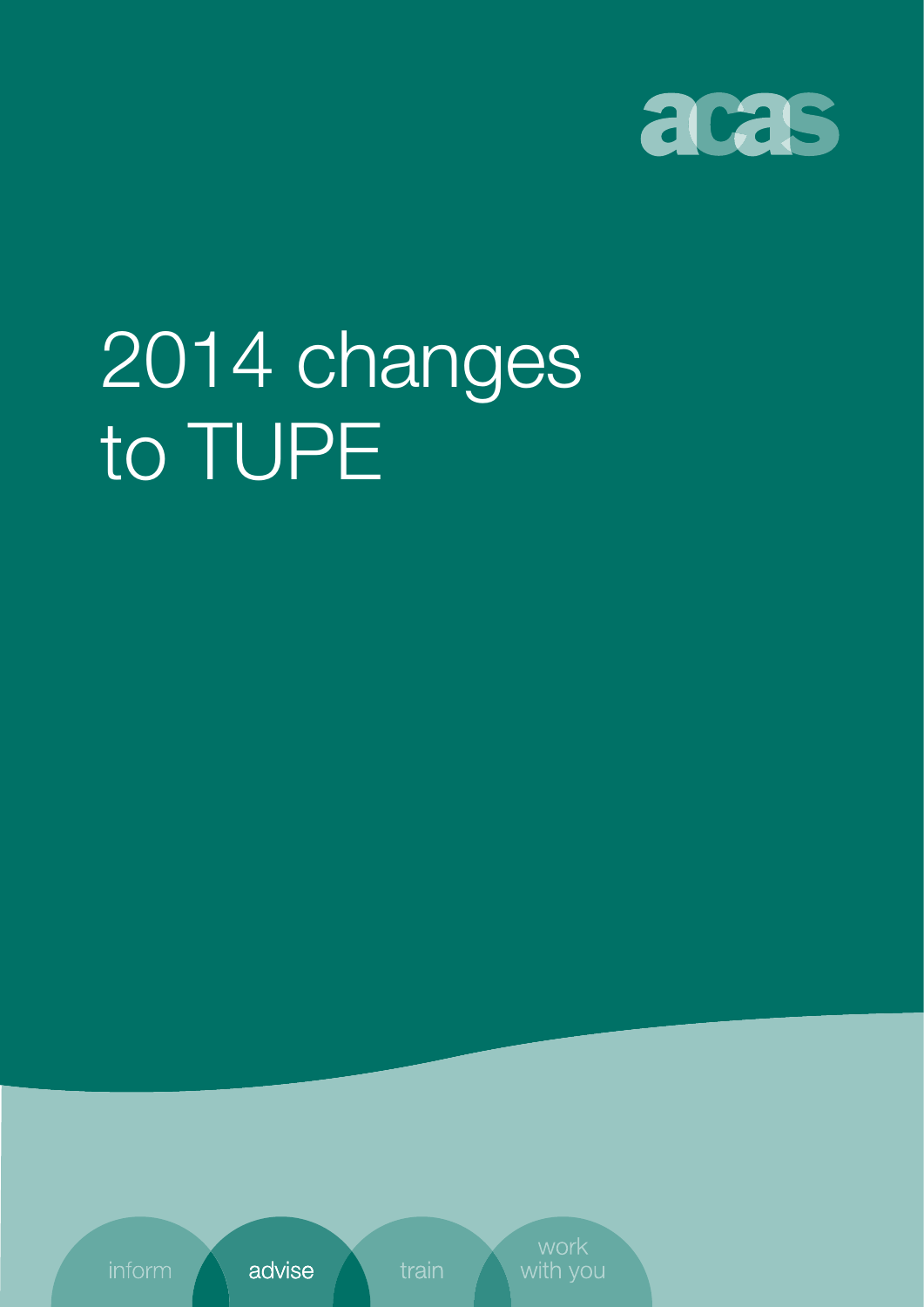

# 2014 changes to TUPE

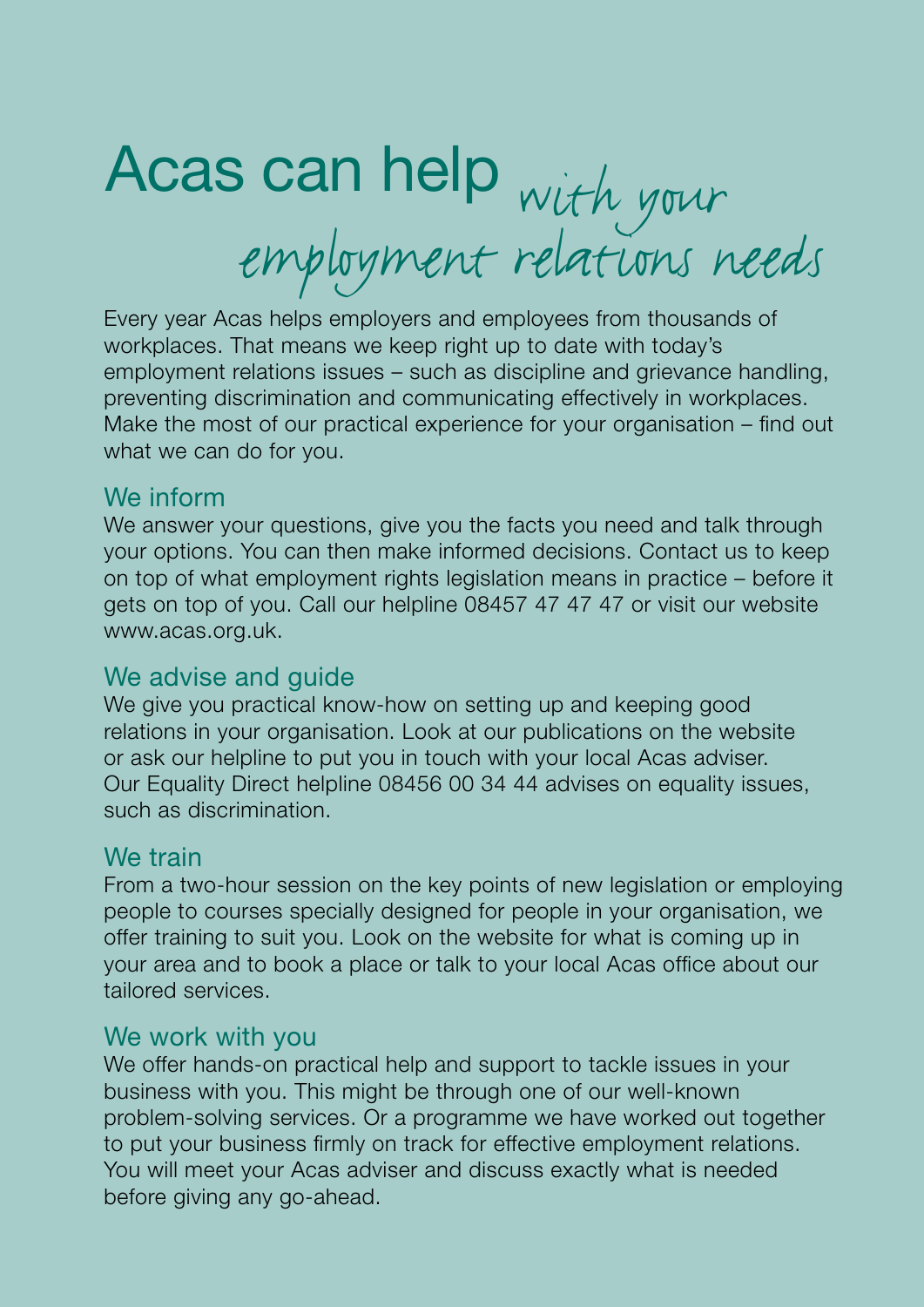## Acas can help with your employment relations needs

Every year Acas helps employers and employees from thousands of workplaces. That means we keep right up to date with today's employment relations issues – such as discipline and grievance handling, preventing discrimination and communicating effectively in workplaces. Make the most of our practical experience for your organisation – find out what we can do for you.

#### We inform

We answer your questions, give you the facts you need and talk through your options. You can then make informed decisions. Contact us to keep on top of what employment rights legislation means in practice – before it gets on top of you. Call our helpline 08457 47 47 47 or visit our website [www.acas.org.uk](http://www.acas.org.uk).

#### We advise and guide

We give you practical know-how on setting up and keeping good relations in your organisation. Look at our publications on the website or ask our helpline to put you in touch with your local Acas adviser. Our Equality Direct helpline 08456 00 34 44 advises on equality issues, such as discrimination.

### We train

From a two-hour session on the key points of new legislation or employing people to courses specially designed for people in your organisation, we offer training to suit you. Look on the website for what is coming up in your area and to book a place or talk to your local Acas office about our tailored services.

#### We work with you

We offer hands-on practical help and support to tackle issues in your business with you. This might be through one of our well-known problem-solving services. Or a programme we have worked out together to put your business firmly on track for effective employment relations. You will meet your Acas adviser and discuss exactly what is needed before giving any go-ahead.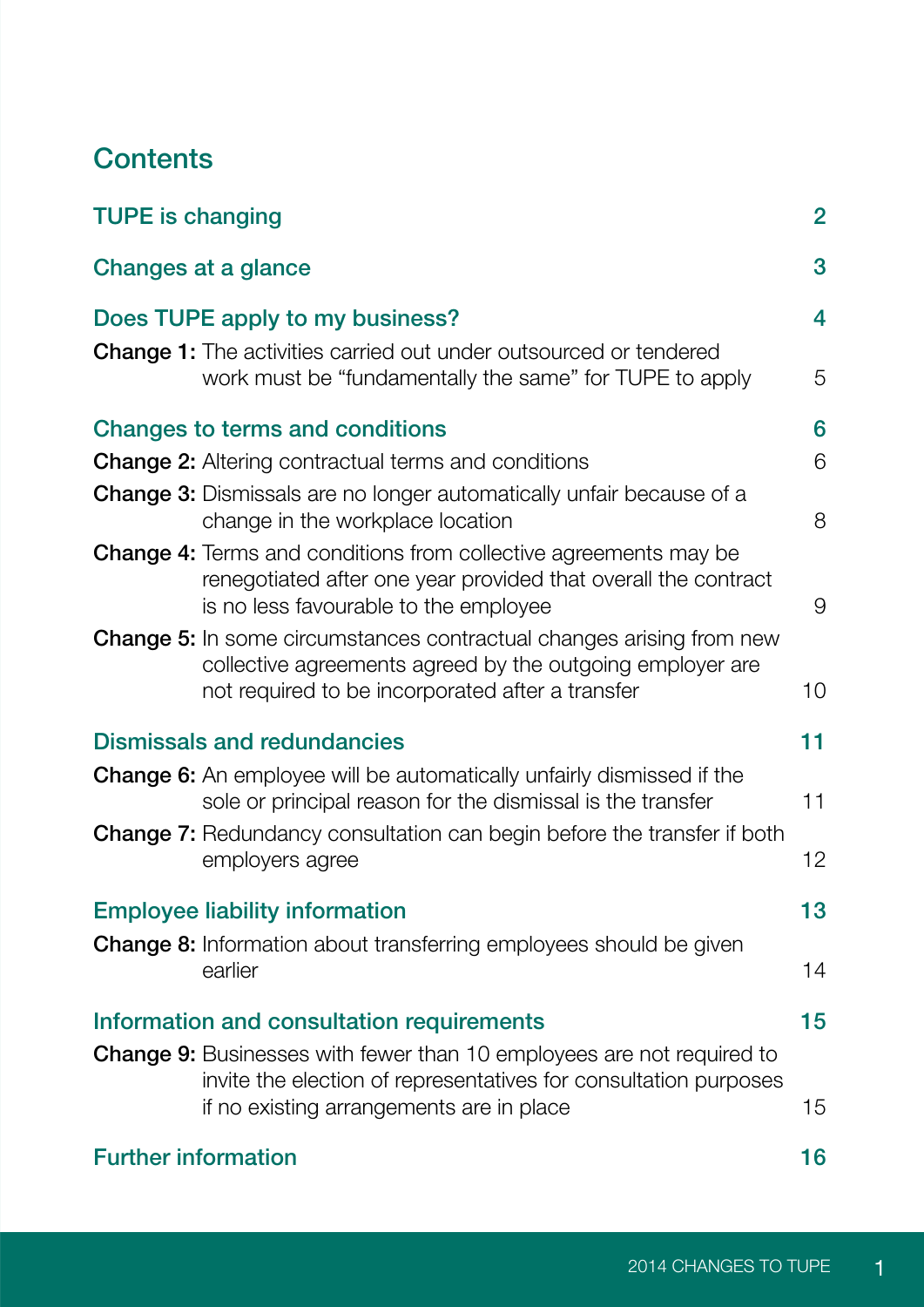## **Contents**

| <b>TUPE is changing</b>                                                                                                                                                                      | $\overline{2}$ |
|----------------------------------------------------------------------------------------------------------------------------------------------------------------------------------------------|----------------|
| Changes at a glance                                                                                                                                                                          | 3              |
| Does TUPE apply to my business?                                                                                                                                                              | 4              |
| Change 1: The activities carried out under outsourced or tendered<br>work must be "fundamentally the same" for TUPE to apply                                                                 | 5              |
| Changes to terms and conditions                                                                                                                                                              | 6              |
| <b>Change 2:</b> Altering contractual terms and conditions                                                                                                                                   | 6              |
| <b>Change 3:</b> Dismissals are no longer automatically unfair because of a<br>change in the workplace location                                                                              | 8              |
| <b>Change 4:</b> Terms and conditions from collective agreements may be<br>renegotiated after one year provided that overall the contract<br>is no less favourable to the employee           | 9              |
| <b>Change 5:</b> In some circumstances contractual changes arising from new<br>collective agreements agreed by the outgoing employer are<br>not required to be incorporated after a transfer | 10             |
| <b>Dismissals and redundancies</b>                                                                                                                                                           | 11             |
| <b>Change 6:</b> An employee will be automatically unfairly dismissed if the<br>sole or principal reason for the dismissal is the transfer                                                   | 11             |
| <b>Change 7:</b> Redundancy consultation can begin before the transfer if both<br>employers agree                                                                                            | 12             |
| <b>Employee liability information</b><br><b>Change 8:</b> Information about transferring employees should be given                                                                           | 13             |
| earlier                                                                                                                                                                                      | 14             |
| Information and consultation requirements<br><b>Change 9:</b> Businesses with fewer than 10 employees are not required to                                                                    | 15             |
| invite the election of representatives for consultation purposes<br>if no existing arrangements are in place                                                                                 | 15             |
| <b>Further information</b>                                                                                                                                                                   | 16             |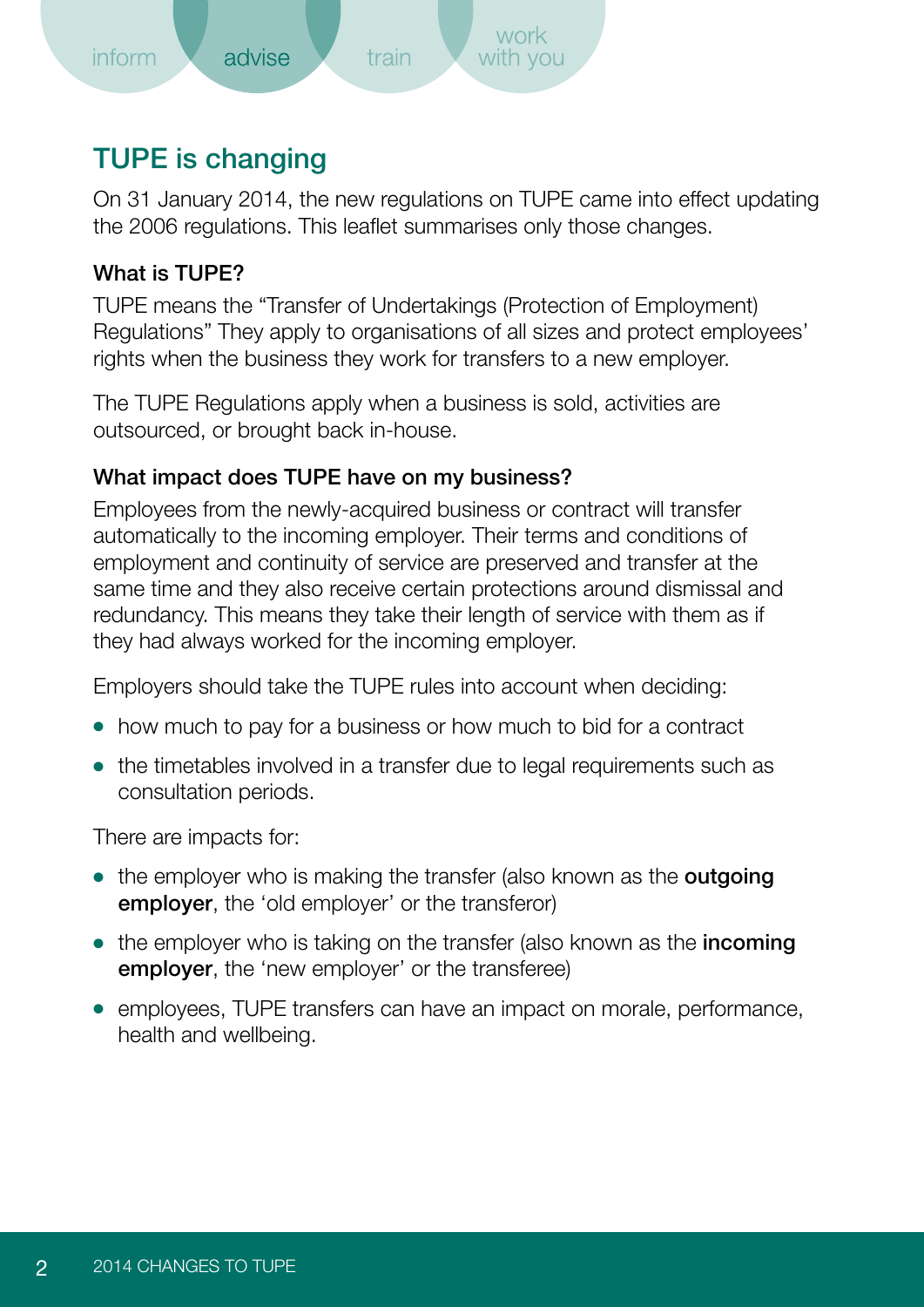<span id="page-3-0"></span>

## TUPE is changing

On 31 January 2014, the new regulations on TUPE came into effect updating the 2006 regulations. This leaflet summarises only those changes.

#### What is TUPE?

TUPE means the "Transfer of Undertakings (Protection of Employment) Regulations" They apply to organisations of all sizes and protect employees' rights when the business they work for transfers to a new employer.

The TUPE Regulations apply when a business is sold, activities are outsourced, or brought back in-house.

#### What impact does TUPE have on my business?

Employees from the newly-acquired business or contract will transfer automatically to the incoming employer. Their terms and conditions of employment and continuity of service are preserved and transfer at the same time and they also receive certain protections around dismissal and redundancy. This means they take their length of service with them as if they had always worked for the incoming employer.

Employers should take the TUPE rules into account when deciding:

- how much to pay for a business or how much to bid for a contract
- the timetables involved in a transfer due to legal requirements such as consultation periods.

There are impacts for:

- the employer who is making the transfer (also known as the **outgoing** employer, the 'old employer' or the transferor)
- the employer who is taking on the transfer (also known as the **incoming** employer, the 'new employer' or the transferee)
- employees, TUPE transfers can have an impact on morale, performance, health and wellbeing.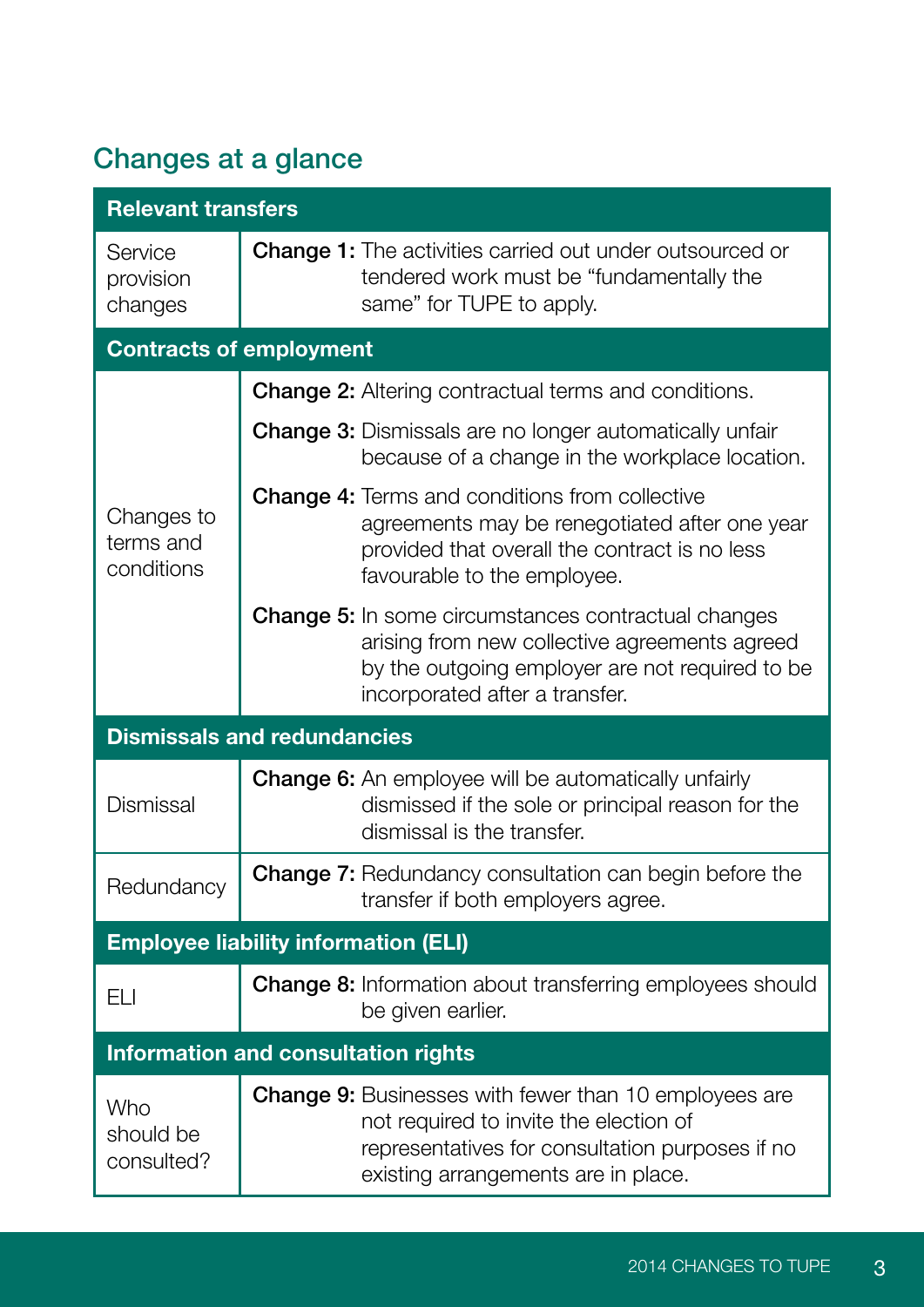## <span id="page-4-0"></span>Changes at a glance

| <b>Relevant transfers</b>                   |                                                                                                                                                                                                  |  |
|---------------------------------------------|--------------------------------------------------------------------------------------------------------------------------------------------------------------------------------------------------|--|
| Service<br>provision<br>changes             | <b>Change 1:</b> The activities carried out under outsourced or<br>tendered work must be "fundamentally the<br>same" for TUPE to apply.                                                          |  |
| <b>Contracts of employment</b>              |                                                                                                                                                                                                  |  |
|                                             | <b>Change 2:</b> Altering contractual terms and conditions.                                                                                                                                      |  |
| Changes to<br>terms and<br>conditions       | <b>Change 3:</b> Dismissals are no longer automatically unfair<br>because of a change in the workplace location.                                                                                 |  |
|                                             | <b>Change 4: Terms and conditions from collective</b><br>agreements may be renegotiated after one year<br>provided that overall the contract is no less<br>favourable to the employee.           |  |
|                                             | <b>Change 5:</b> In some circumstances contractual changes<br>arising from new collective agreements agreed<br>by the outgoing employer are not required to be<br>incorporated after a transfer. |  |
| <b>Dismissals and redundancies</b>          |                                                                                                                                                                                                  |  |
| Dismissal                                   | Change 6: An employee will be automatically unfairly<br>dismissed if the sole or principal reason for the<br>dismissal is the transfer.                                                          |  |
| Redundancy                                  | Change 7: Redundancy consultation can begin before the<br>transfer if both employers agree.                                                                                                      |  |
| <b>Employee liability information (ELI)</b> |                                                                                                                                                                                                  |  |
| ELI                                         | Change 8: Information about transferring employees should<br>be given earlier.                                                                                                                   |  |
| <b>Information and consultation rights</b>  |                                                                                                                                                                                                  |  |
| Who<br>should be<br>consulted?              | <b>Change 9:</b> Businesses with fewer than 10 employees are<br>not required to invite the election of<br>representatives for consultation purposes if no<br>existing arrangements are in place. |  |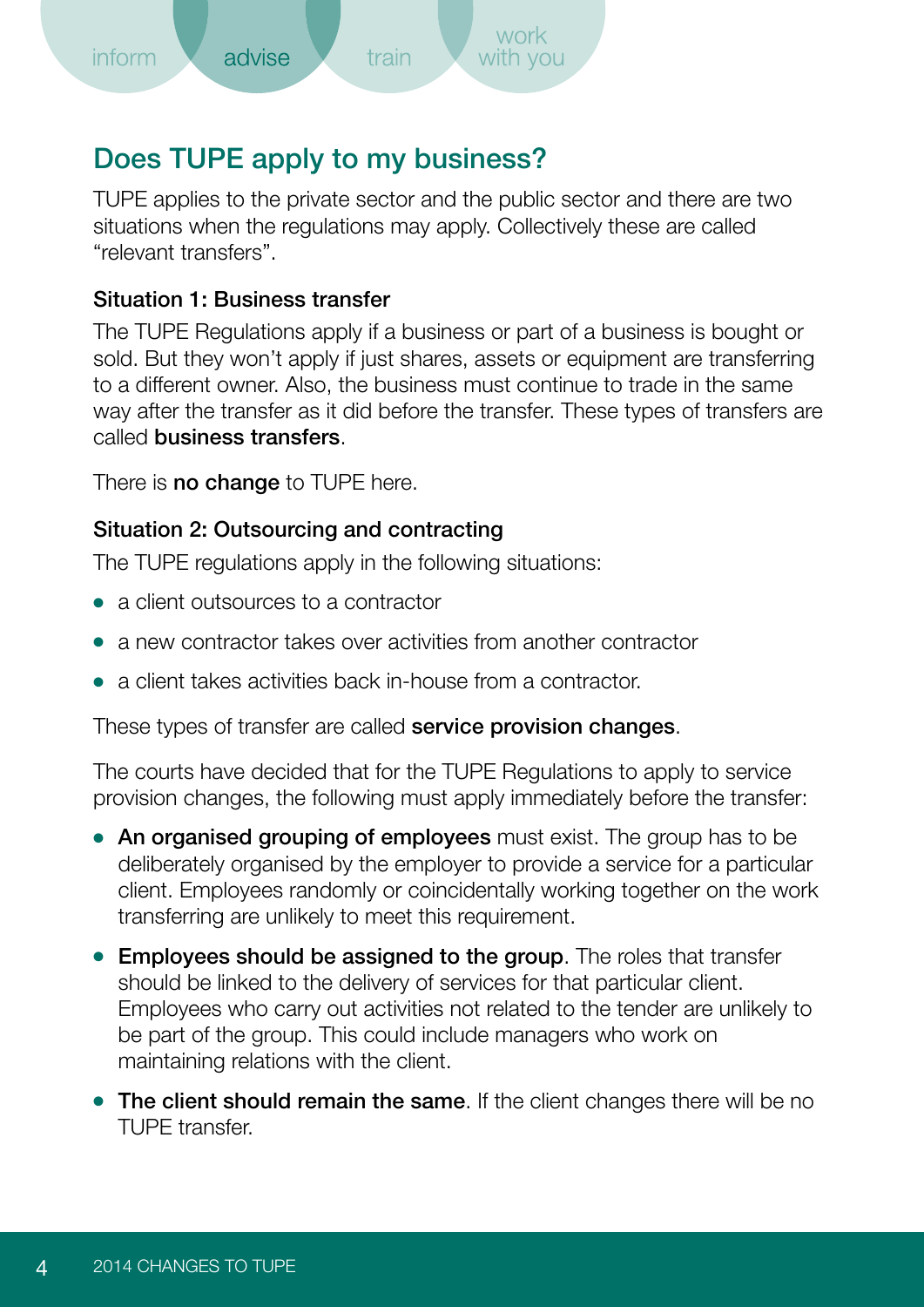## <span id="page-5-0"></span>Does TUPE apply to my business?

TUPE applies to the private sector and the public sector and there are two situations when the regulations may apply. Collectively these are called "relevant transfers".

#### Situation 1: Business transfer

The TUPE Regulations apply if a business or part of a business is bought or sold. But they won't apply if just shares, assets or equipment are transferring to a different owner. Also, the business must continue to trade in the same way after the transfer as it did before the transfer. These types of transfers are called business transfers.

There is **no change** to TUPE here.

#### Situation 2: Outsourcing and contracting

The TUPE regulations apply in the following situations:

- a client outsources to a contractor
- a new contractor takes over activities from another contractor
- a client takes activities back in-house from a contractor.

These types of transfer are called **service provision changes**.

The courts have decided that for the TUPE Regulations to apply to service provision changes, the following must apply immediately before the transfer:

- An organised grouping of employees must exist. The group has to be deliberately organised by the employer to provide a service for a particular client. Employees randomly or coincidentally working together on the work transferring are unlikely to meet this requirement.
- Employees should be assigned to the group. The roles that transfer should be linked to the delivery of services for that particular client. Employees who carry out activities not related to the tender are unlikely to be part of the group. This could include managers who work on maintaining relations with the client.
- The client should remain the same. If the client changes there will be no TUPE transfer.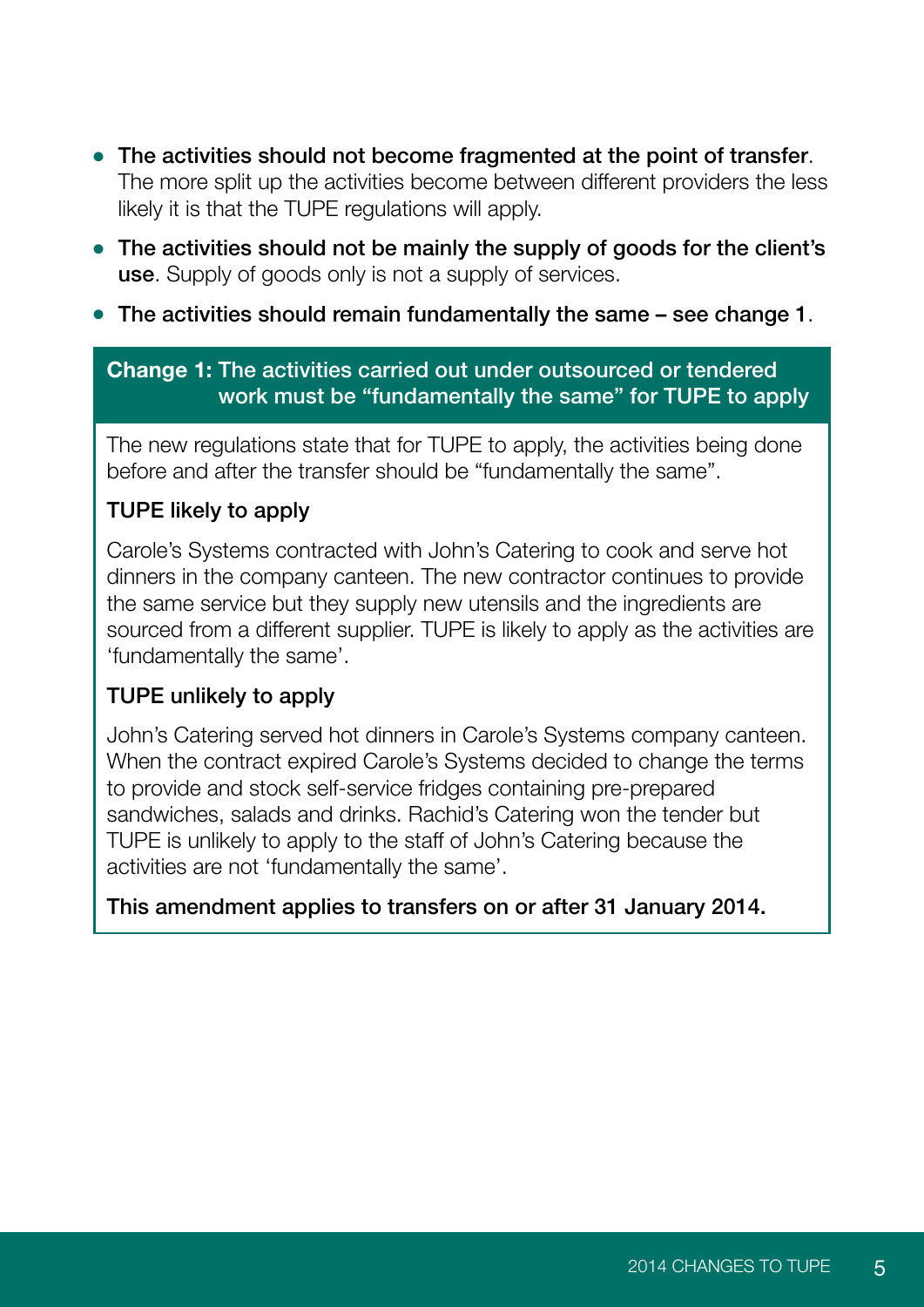- <span id="page-6-0"></span>● The activities should not become fragmented at the point of transfer. The more split up the activities become between different providers the less likely it is that the TUPE regulations will apply.
- The activities should not be mainly the supply of goods for the client's use. Supply of goods only is not a supply of services.
- $\bullet$  The activities should remain fundamentally the same  $-$  see change 1.

#### **Change 1:** The activities carried out under outsourced or tendered work must be "fundamentally the same" for TUPE to apply

The new regulations state that for TUPE to apply, the activities being done before and after the transfer should be "fundamentally the same".

#### TUPE likely to apply

Carole's Systems contracted with John's Catering to cook and serve hot dinners in the company canteen. The new contractor continues to provide the same service but they supply new utensils and the ingredients are sourced from a different supplier. TUPE is likely to apply as the activities are 'fundamentally the same'.

#### TUPE unlikely to apply

John's Catering served hot dinners in Carole's Systems company canteen. When the contract expired Carole's Systems decided to change the terms to provide and stock self-service fridges containing pre-prepared sandwiches, salads and drinks. Rachid's Catering won the tender but TUPE is unlikely to apply to the staff of John's Catering because the activities are not 'fundamentally the same'.

This amendment applies to transfers on or after 31 January 2014.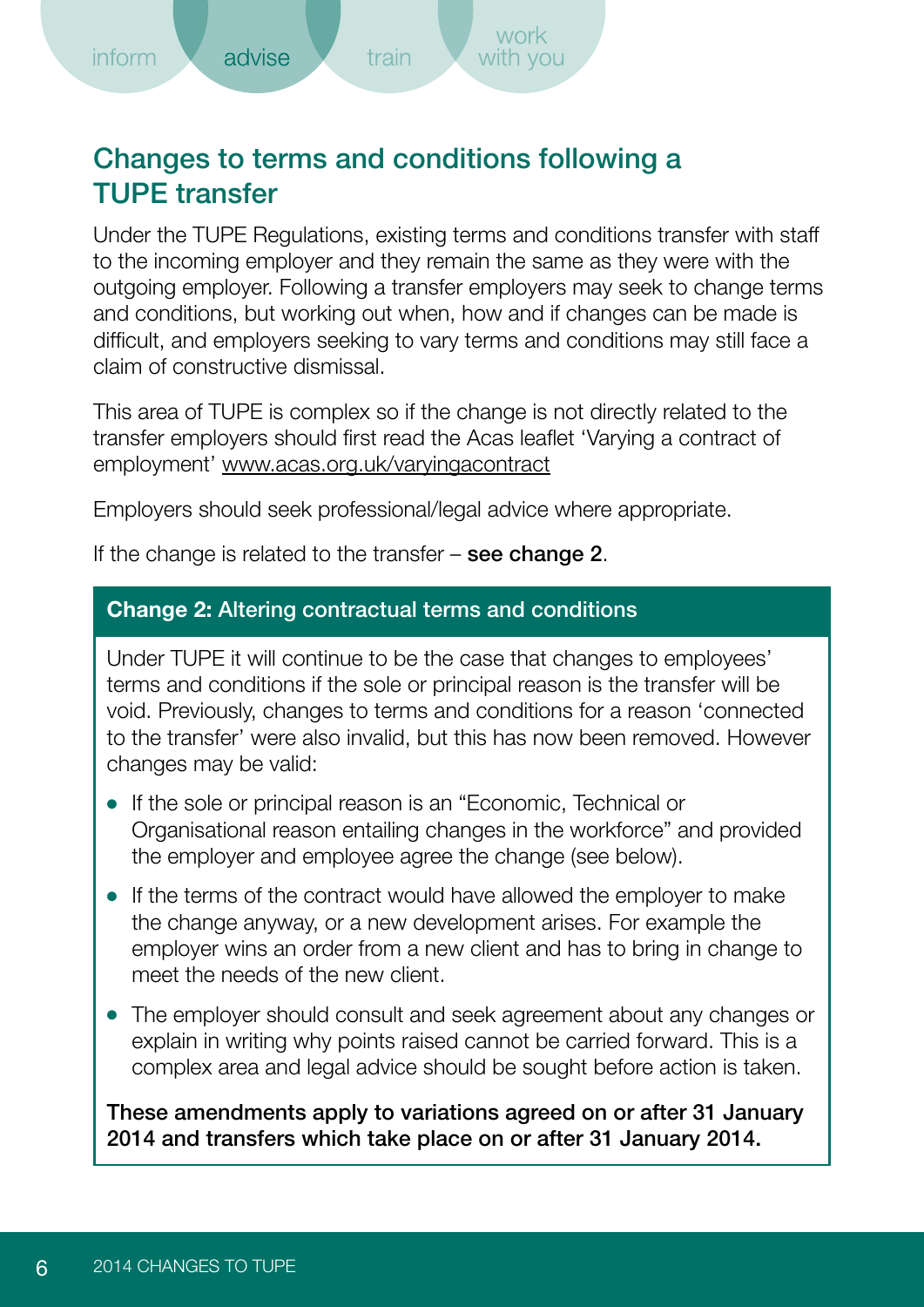## <span id="page-7-0"></span>Changes to terms and conditions following a TUPE transfer

Under the TUPE Regulations, existing terms and conditions transfer with staff to the incoming employer and they remain the same as they were with the outgoing employer. Following a transfer employers may seek to change terms and conditions, but working out when, how and if changes can be made is difficult, and employers seeking to vary terms and conditions may still face a claim of constructive dismissal.

This area of TUPE is complex so if the change is not directly related to the transfer employers should first read the Acas leaflet 'Varying a contract of employment'<www.acas.org.uk/varyingacontract>

Employers should seek professional/legal advice where appropriate.

If the change is related to the transfer  $-$  see change 2.

#### **Change 2:** Altering contractual terms and conditions

Under TUPE it will continue to be the case that changes to employees' terms and conditions if the sole or principal reason is the transfer will be void. Previously, changes to terms and conditions for a reason 'connected to the transfer' were also invalid, but this has now been removed. However changes may be valid:

- If the sole or principal reason is an "Economic, Technical or Organisational reason entailing changes in the workforce" and provided the employer and employee agree the change (see below).
- If the terms of the contract would have allowed the employer to make the change anyway, or a new development arises. For example the employer wins an order from a new client and has to bring in change to meet the needs of the new client.
- The employer should consult and seek agreement about any changes or explain in writing why points raised cannot be carried forward. This is a complex area and legal advice should be sought before action is taken.

These amendments apply to variations agreed on or after 31 January 2014 and transfers which take place on or after 31 January 2014.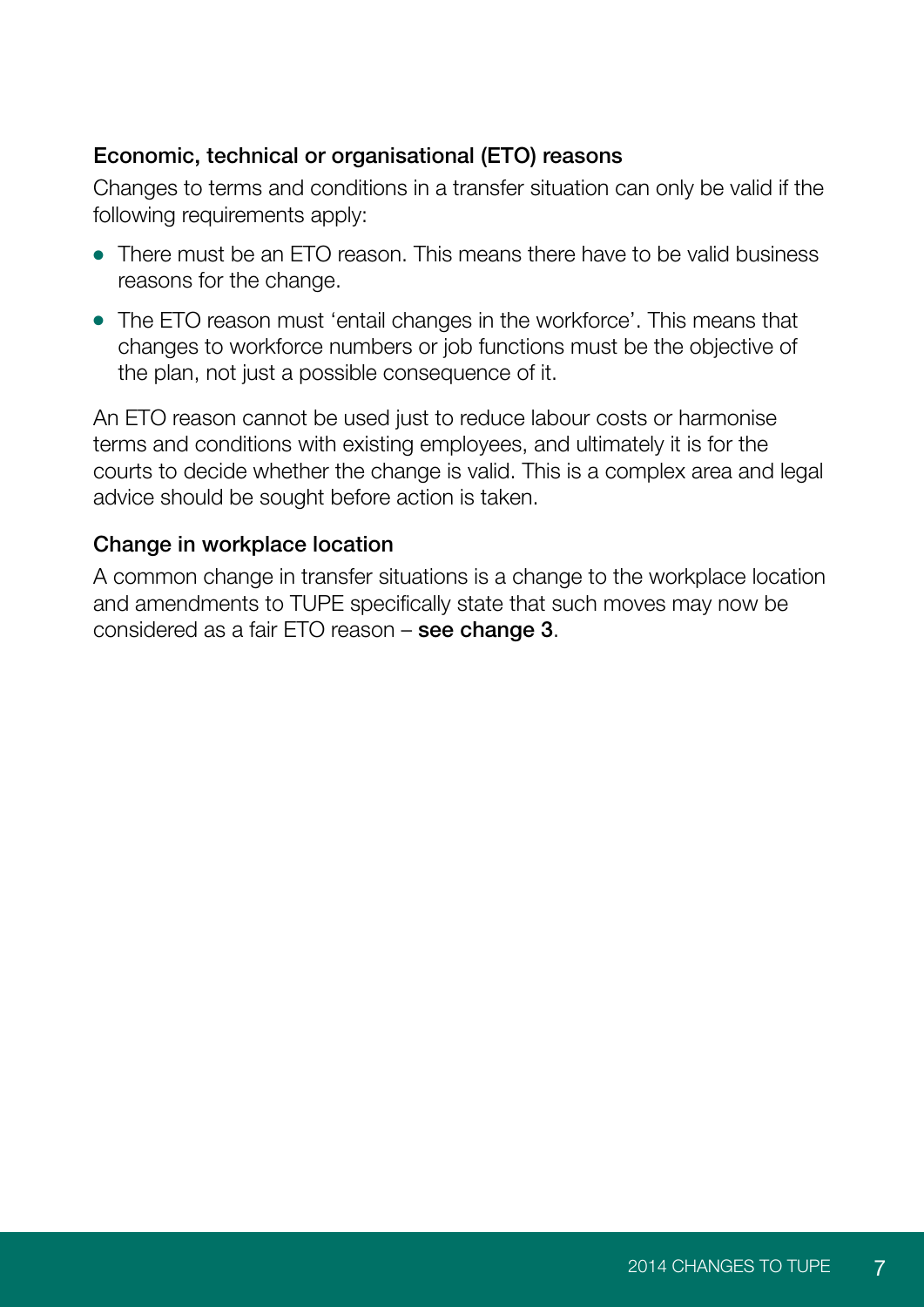#### Economic, technical or organisational (ETO) reasons

Changes to terms and conditions in a transfer situation can only be valid if the following requirements apply:

- $\bullet$  There must be an ETO reason. This means there have to be valid business. reasons for the change.
- The ETO reason must 'entail changes in the workforce'. This means that changes to workforce numbers or job functions must be the objective of the plan, not just a possible consequence of it.

An ETO reason cannot be used just to reduce labour costs or harmonise terms and conditions with existing employees, and ultimately it is for the courts to decide whether the change is valid. This is a complex area and legal advice should be sought before action is taken.

#### Change in workplace location

A common change in transfer situations is a change to the workplace location and amendments to TUPE specifically state that such moves may now be considered as a fair ETO reason – see change 3.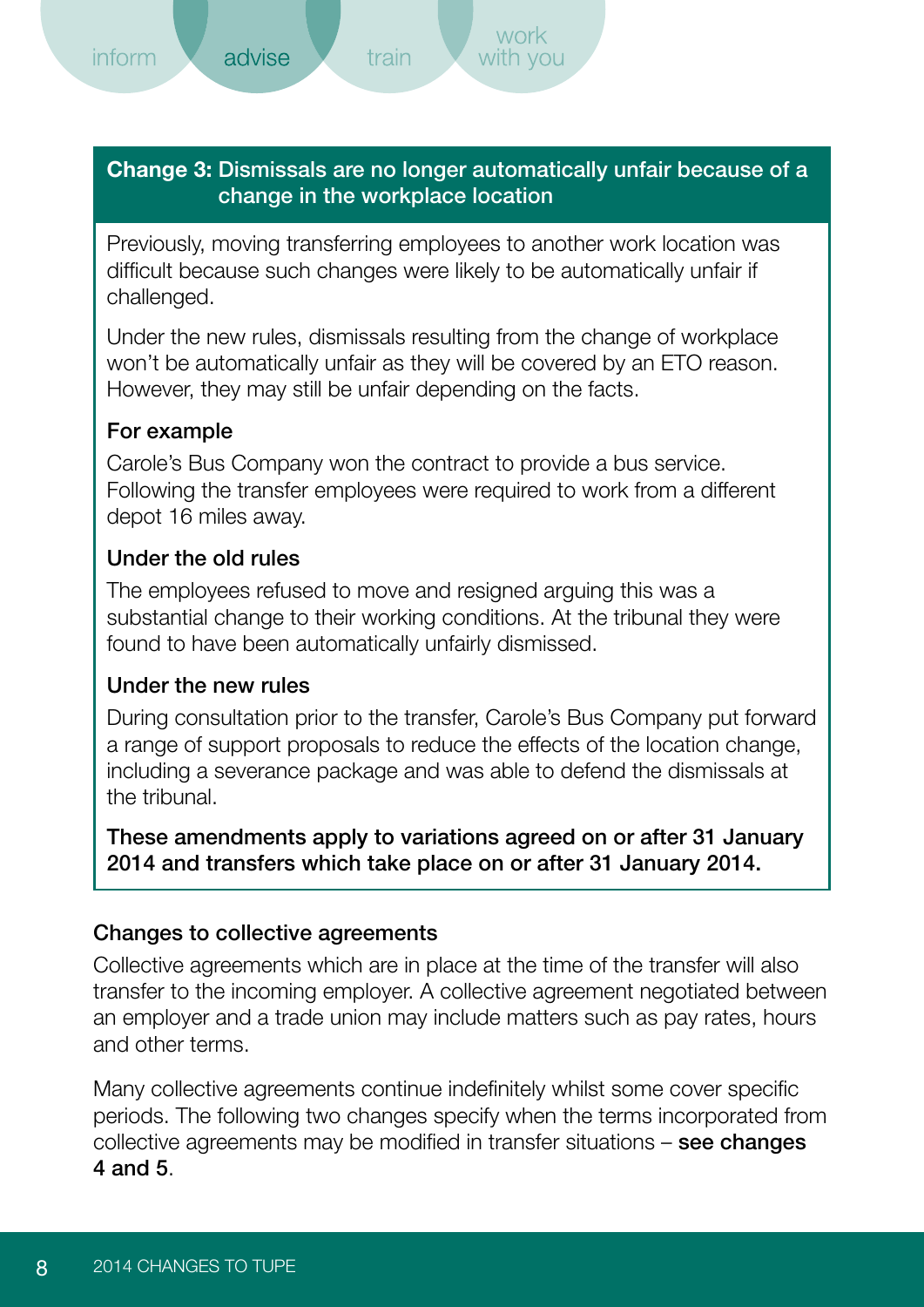<span id="page-9-0"></span>**Change 3:** Dismissals are no longer automatically unfair because of a change in the workplace location

train

Previously, moving transferring employees to another work location was difficult because such changes were likely to be automatically unfair if challenged.

Under the new rules, dismissals resulting from the change of workplace won't be automatically unfair as they will be covered by an ETO reason. However, they may still be unfair depending on the facts.

#### For example

Carole's Bus Company won the contract to provide a bus service. Following the transfer employees were required to work from a different depot 16 miles away.

#### Under the old rules

The employees refused to move and resigned arguing this was a substantial change to their working conditions. At the tribunal they were found to have been automatically unfairly dismissed.

#### Under the new rules

During consultation prior to the transfer, Carole's Bus Company put forward a range of support proposals to reduce the effects of the location change, including a severance package and was able to defend the dismissals at the tribunal.

#### These amendments apply to variations agreed on or after 31 January 2014 and transfers which take place on or after 31 January 2014.

#### Changes to collective agreements

Collective agreements which are in place at the time of the transfer will also transfer to the incoming employer. A collective agreement negotiated between an employer and a trade union may include matters such as pay rates, hours and other terms.

Many collective agreements continue indefinitely whilst some cover specific periods. The following two changes specify when the terms incorporated from collective agreements may be modified in transfer situations – see changes 4 and 5.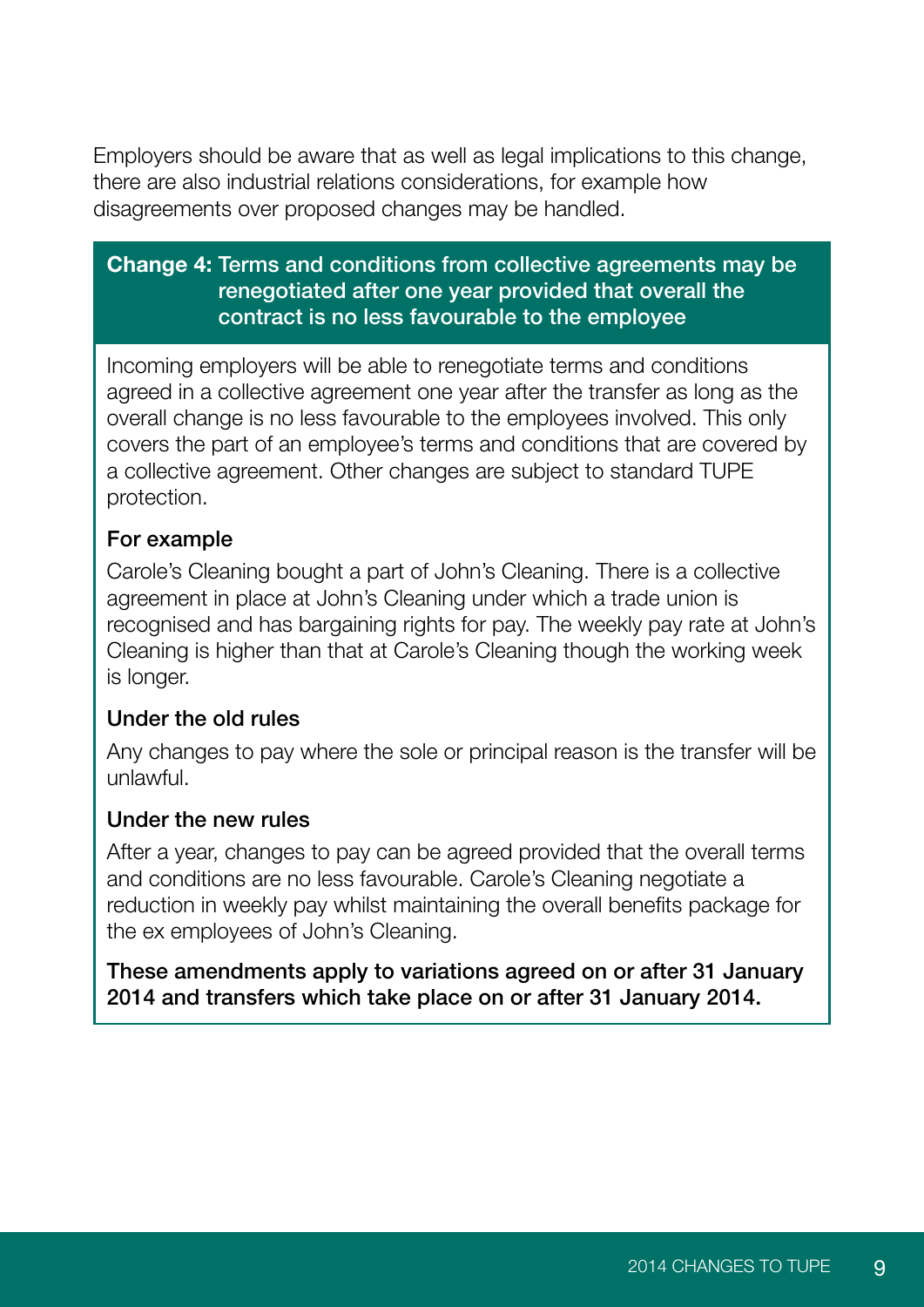<span id="page-10-0"></span>Employers should be aware that as well as legal implications to this change, there are also industrial relations considerations, for example how disagreements over proposed changes may be handled.

#### **Change 4:** Terms and conditions from collective agreements may be renegotiated after one year provided that overall the contract is no less favourable to the employee

Incoming employers will be able to renegotiate terms and conditions agreed in a collective agreement one year after the transfer as long as the overall change is no less favourable to the employees involved. This only covers the part of an employee's terms and conditions that are covered by a collective agreement. Other changes are subject to standard TUPE protection.

#### For example

Carole's Cleaning bought a part of John's Cleaning. There is a collective agreement in place at John's Cleaning under which a trade union is recognised and has bargaining rights for pay. The weekly pay rate at John's Cleaning is higher than that at Carole's Cleaning though the working week is longer.

#### Under the old rules

Any changes to pay where the sole or principal reason is the transfer will be unlawful.

#### Under the new rules

After a year, changes to pay can be agreed provided that the overall terms and conditions are no less favourable. Carole's Cleaning negotiate a reduction in weekly pay whilst maintaining the overall benefits package for the ex employees of John's Cleaning.

These amendments apply to variations agreed on or after 31 January 2014 and transfers which take place on or after 31 January 2014.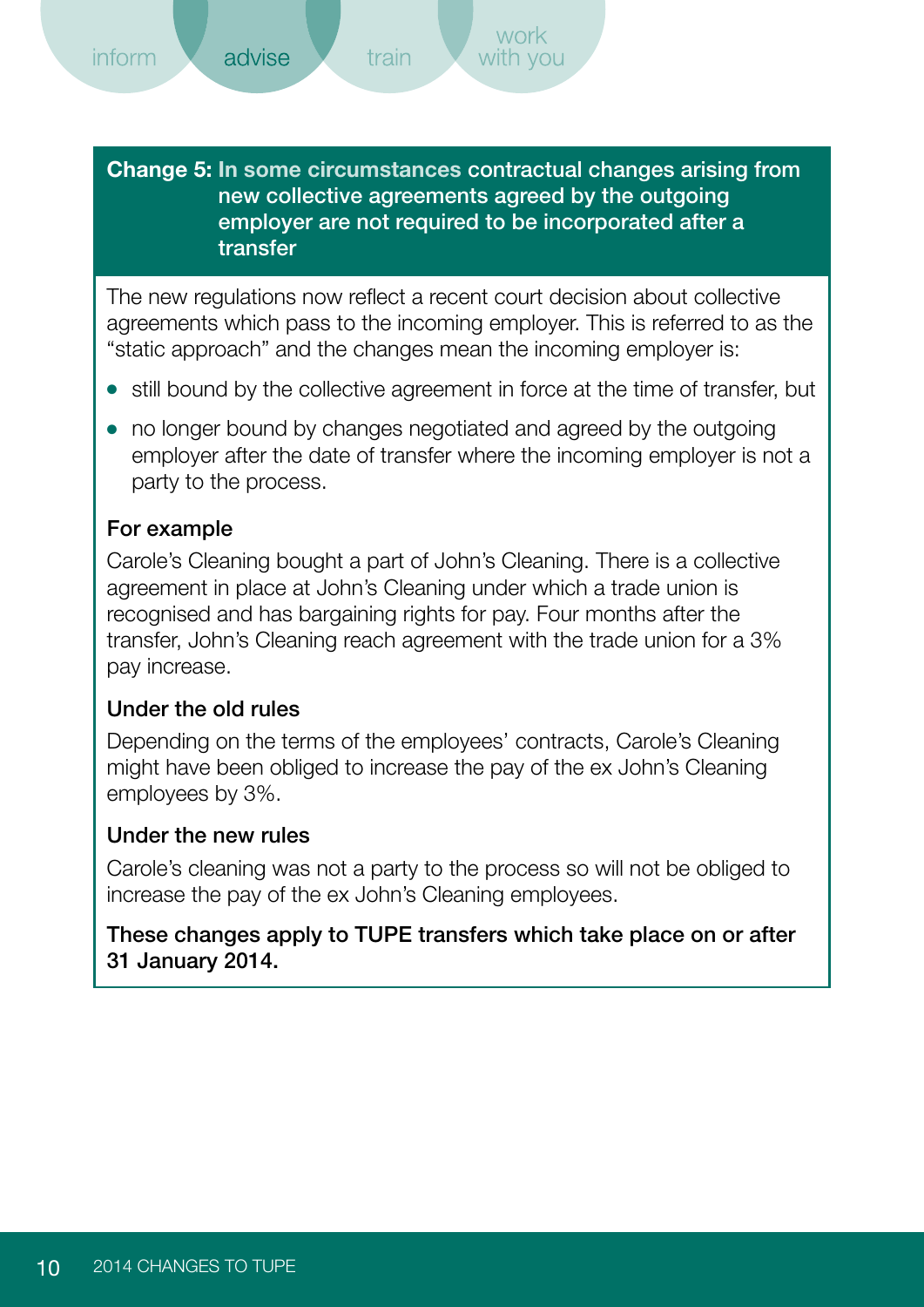train

<span id="page-11-0"></span>**Change 5: In some circumstances** contractual changes arising from new collective agreements agreed by the outgoing employer are not required to be incorporated after a transfer

The new regulations now reflect a recent court decision about collective agreements which pass to the incoming employer. This is referred to as the "static approach" and the changes mean the incoming employer is:

- still bound by the collective agreement in force at the time of transfer, but
- no longer bound by changes negotiated and agreed by the outgoing employer after the date of transfer where the incoming employer is not a party to the process.

#### For example

Carole's Cleaning bought a part of John's Cleaning. There is a collective agreement in place at John's Cleaning under which a trade union is recognised and has bargaining rights for pay. Four months after the transfer, John's Cleaning reach agreement with the trade union for a 3% pay increase.

#### Under the old rules

Depending on the terms of the employees' contracts, Carole's Cleaning might have been obliged to increase the pay of the ex John's Cleaning employees by 3%.

#### Under the new rules

Carole's cleaning was not a party to the process so will not be obliged to increase the pay of the ex John's Cleaning employees.

#### These changes apply to TUPE transfers which take place on or after 31 January 2014.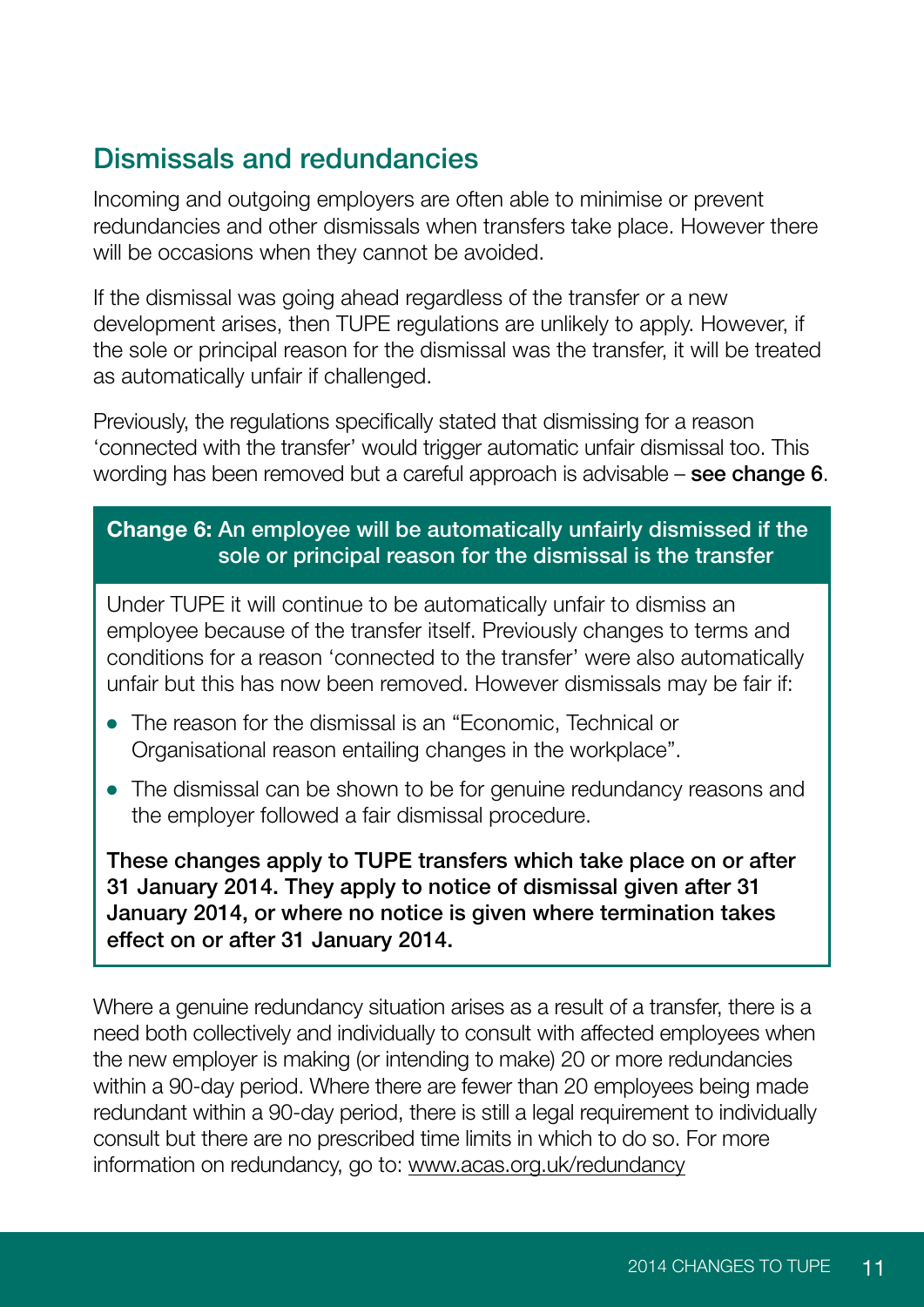## <span id="page-12-0"></span>Dismissals and redundancies

Incoming and outgoing employers are often able to minimise or prevent redundancies and other dismissals when transfers take place. However there will be occasions when they cannot be avoided.

If the dismissal was going ahead regardless of the transfer or a new development arises, then TUPE regulations are unlikely to apply. However, if the sole or principal reason for the dismissal was the transfer, it will be treated as automatically unfair if challenged.

Previously, the regulations specifically stated that dismissing for a reason 'connected with the transfer' would trigger automatic unfair dismissal too. This wording has been removed but a careful approach is advisable – see change 6.

#### **Change 6:** An employee will be automatically unfairly dismissed if the sole or principal reason for the dismissal is the transfer

Under TUPE it will continue to be automatically unfair to dismiss an employee because of the transfer itself. Previously changes to terms and conditions for a reason 'connected to the transfer' were also automatically unfair but this has now been removed. However dismissals may be fair if:

- The reason for the dismissal is an "Economic, Technical or Organisational reason entailing changes in the workplace".
- The dismissal can be shown to be for genuine redundancy reasons and the employer followed a fair dismissal procedure.

These changes apply to TUPE transfers which take place on or after 31 January 2014. They apply to notice of dismissal given after 31 January 2014, or where no notice is given where termination takes effect on or after 31 January 2014.

Where a genuine redundancy situation arises as a result of a transfer, there is a need both collectively and individually to consult with affected employees when the new employer is making (or intending to make) 20 or more redundancies within a 90-day period. Where there are fewer than 20 employees being made redundant within a 90-day period, there is still a legal requirement to individually consult but there are no prescribed time limits in which to do so. For more information on redundancy, go to:<www.acas.org.uk/redundancy>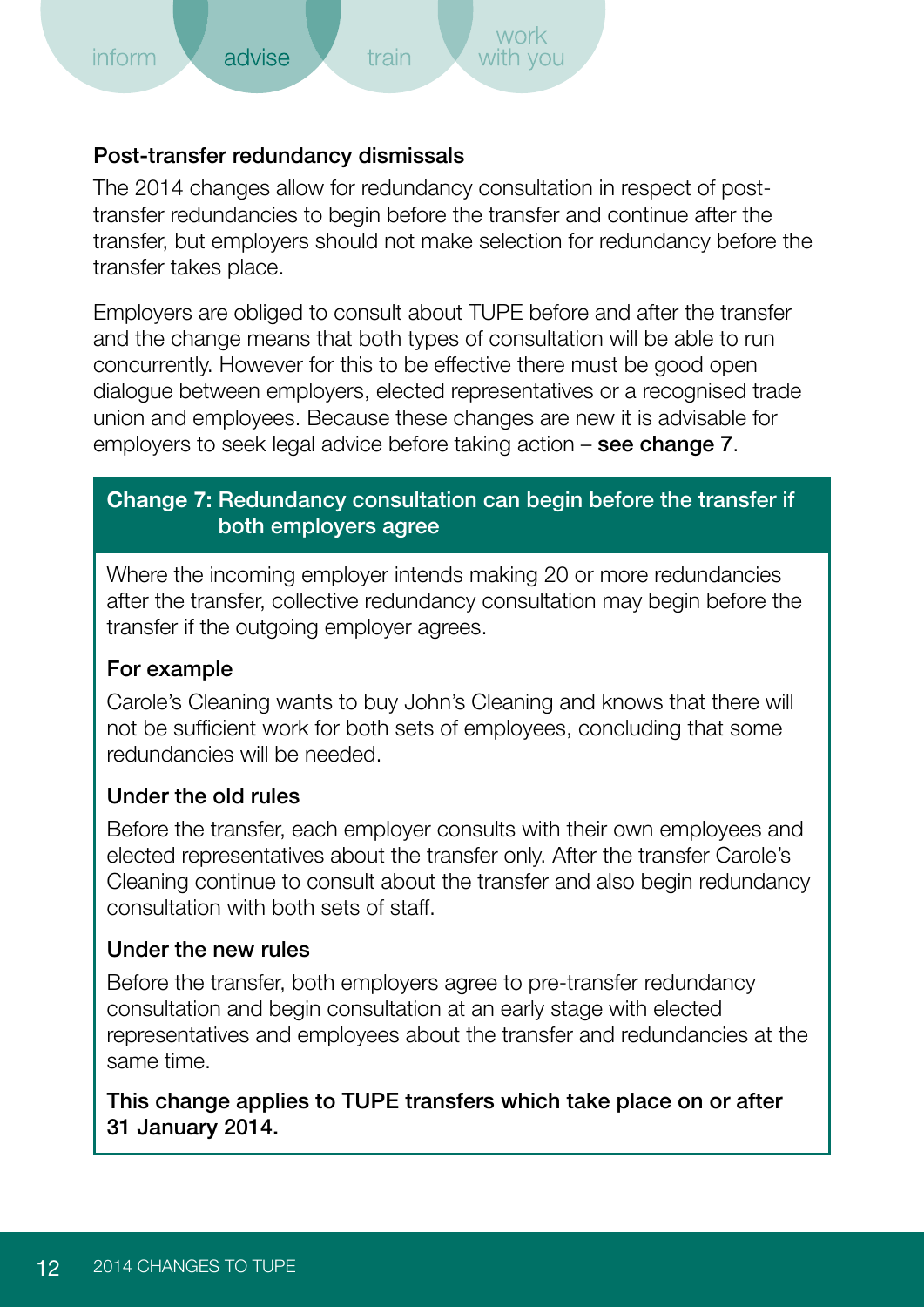#### <span id="page-13-0"></span>Post-transfer redundancy dismissals

The 2014 changes allow for redundancy consultation in respect of posttransfer redundancies to begin before the transfer and continue after the transfer, but employers should not make selection for redundancy before the transfer takes place.

Employers are obliged to consult about TUPE before and after the transfer and the change means that both types of consultation will be able to run concurrently. However for this to be effective there must be good open dialogue between employers, elected representatives or a recognised trade union and employees. Because these changes are new it is advisable for employers to seek legal advice before taking action – see change 7.

#### **Change 7:** Redundancy consultation can begin before the transfer if both employers agree

Where the incoming employer intends making 20 or more redundancies after the transfer, collective redundancy consultation may begin before the transfer if the outgoing employer agrees.

#### For example

Carole's Cleaning wants to buy John's Cleaning and knows that there will not be sufficient work for both sets of employees, concluding that some redundancies will be needed.

#### Under the old rules

Before the transfer, each employer consults with their own employees and elected representatives about the transfer only. After the transfer Carole's Cleaning continue to consult about the transfer and also begin redundancy consultation with both sets of staff.

#### Under the new rules

Before the transfer, both employers agree to pre-transfer redundancy consultation and begin consultation at an early stage with elected representatives and employees about the transfer and redundancies at the same time.

This change applies to TUPE transfers which take place on or after 31 January 2014.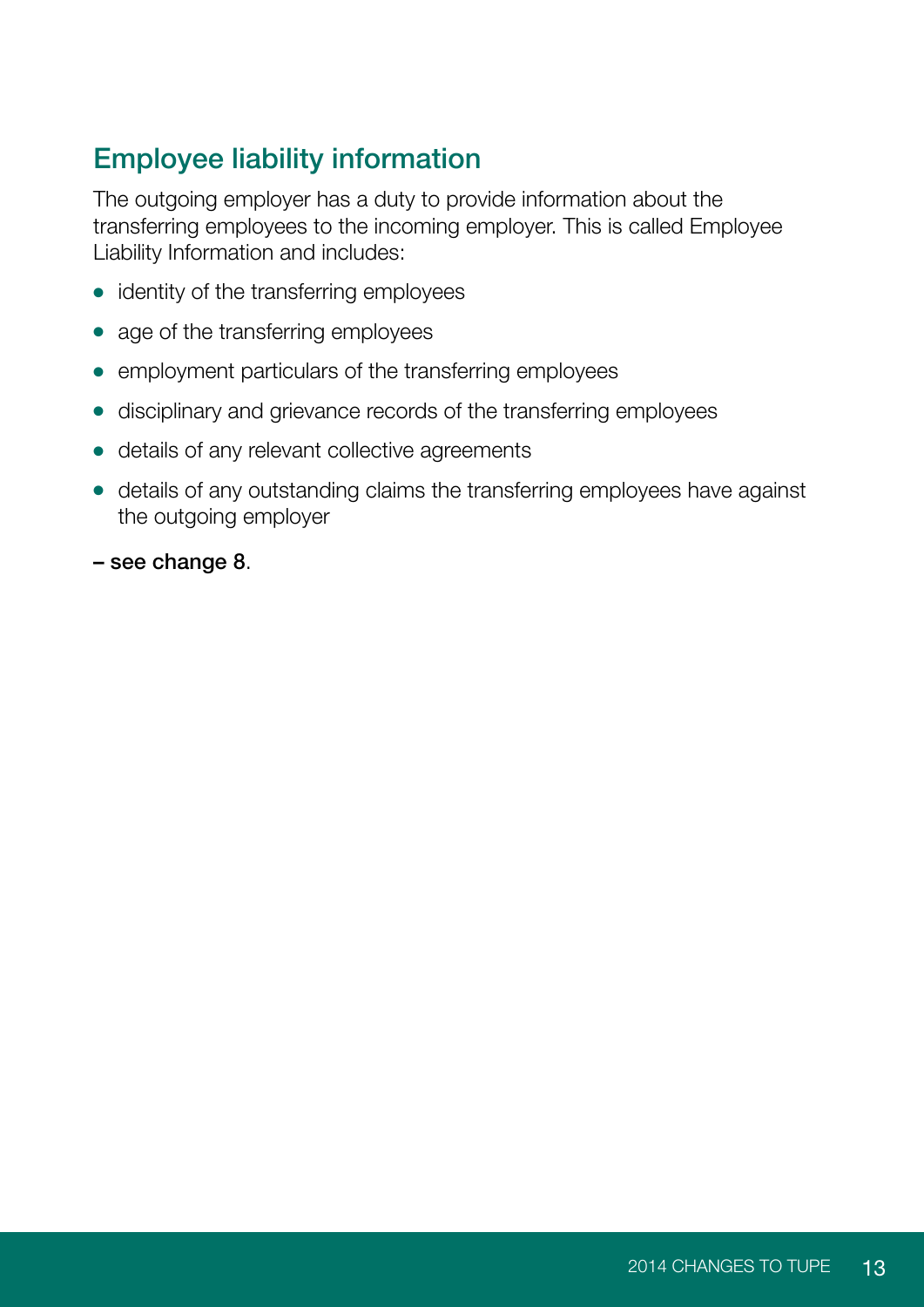## <span id="page-14-0"></span>Employee liability information

The outgoing employer has a duty to provide information about the transferring employees to the incoming employer. This is called Employee Liability Information and includes:

- identity of the transferring employees
- age of the transferring employees
- employment particulars of the transferring employees
- disciplinary and grievance records of the transferring employees
- details of any relevant collective agreements
- details of any outstanding claims the transferring employees have against the outgoing employer
- see change 8.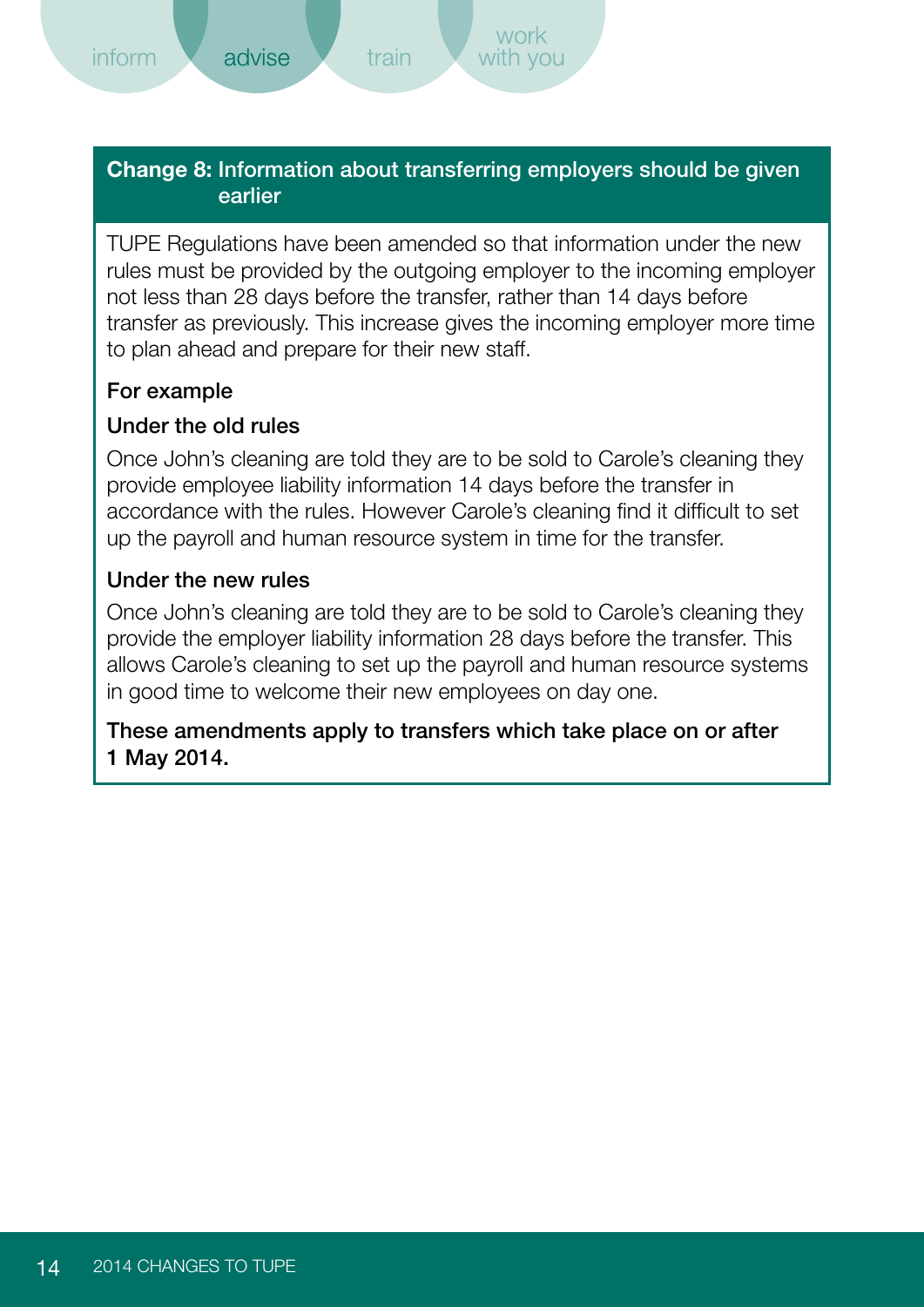<span id="page-15-0"></span>*inform* 

#### **Change 8:** Information about transferring employers should be given earlier

train

TUPE Regulations have been amended so that information under the new rules must be provided by the outgoing employer to the incoming employer not less than 28 days before the transfer, rather than 14 days before transfer as previously. This increase gives the incoming employer more time to plan ahead and prepare for their new staff.

#### For example

#### Under the old rules

Once John's cleaning are told they are to be sold to Carole's cleaning they provide employee liability information 14 days before the transfer in accordance with the rules. However Carole's cleaning find it difficult to set up the payroll and human resource system in time for the transfer.

#### Under the new rules

Once John's cleaning are told they are to be sold to Carole's cleaning they provide the employer liability information 28 days before the transfer. This allows Carole's cleaning to set up the payroll and human resource systems in good time to welcome their new employees on day one.

#### These amendments apply to transfers which take place on or after 1 May 2014.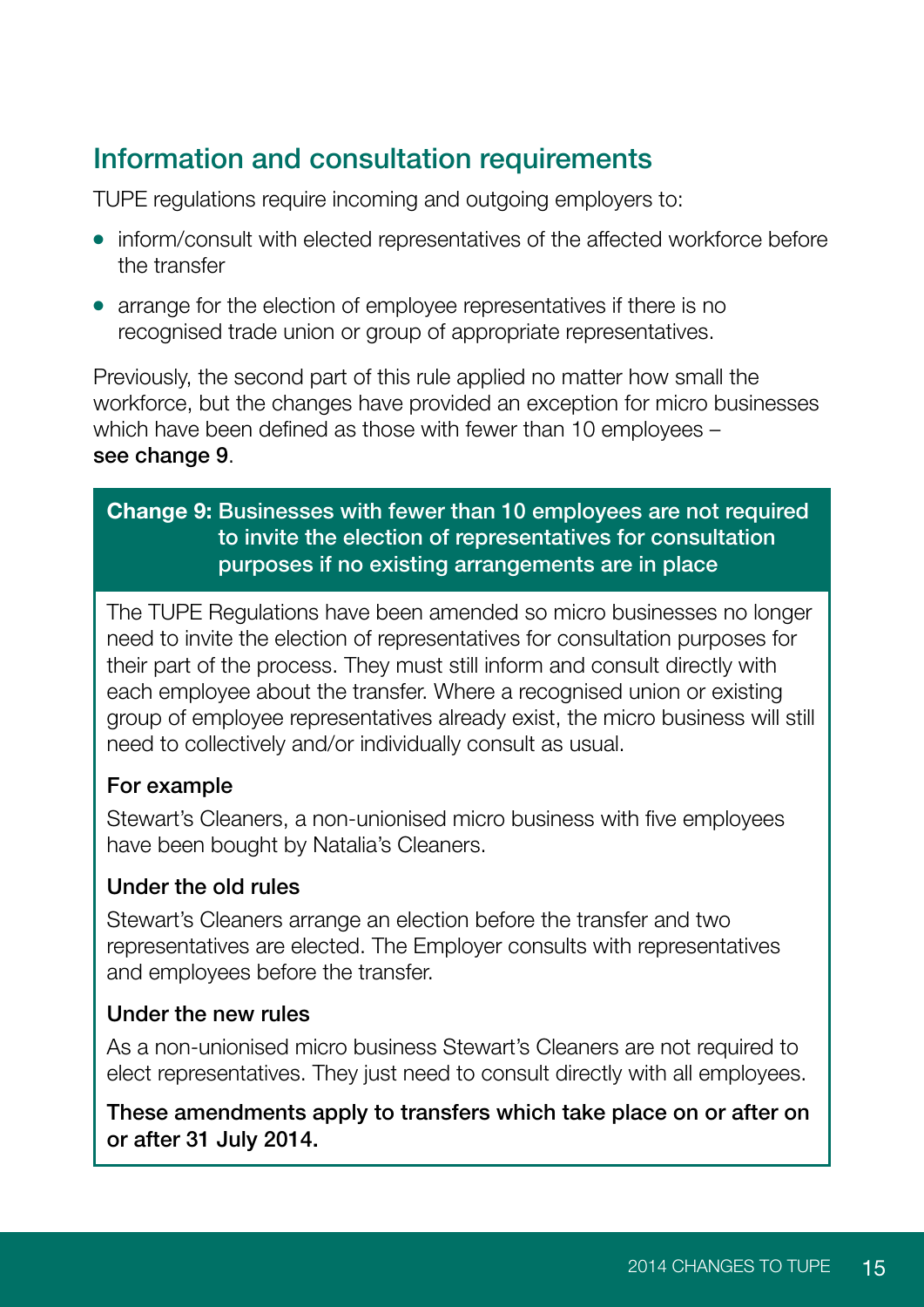## <span id="page-16-0"></span>Information and consultation requirements

TUPE regulations require incoming and outgoing employers to:

- inform/consult with elected representatives of the affected workforce before the transfer
- arrange for the election of employee representatives if there is no recognised trade union or group of appropriate representatives.

Previously, the second part of this rule applied no matter how small the workforce, but the changes have provided an exception for micro businesses which have been defined as those with fewer than 10 employees – see change 9.

#### **Change 9:** Businesses with fewer than 10 employees are not required to invite the election of representatives for consultation purposes if no existing arrangements are in place

The TUPE Regulations have been amended so micro businesses no longer need to invite the election of representatives for consultation purposes for their part of the process. They must still inform and consult directly with each employee about the transfer. Where a recognised union or existing group of employee representatives already exist, the micro business will still need to collectively and/or individually consult as usual.

#### For example

Stewart's Cleaners, a non-unionised micro business with five employees have been bought by Natalia's Cleaners.

#### Under the old rules

Stewart's Cleaners arrange an election before the transfer and two representatives are elected. The Employer consults with representatives and employees before the transfer.

#### Under the new rules

As a non-unionised micro business Stewart's Cleaners are not required to elect representatives. They just need to consult directly with all employees.

#### These amendments apply to transfers which take place on or after on or after 31 July 2014.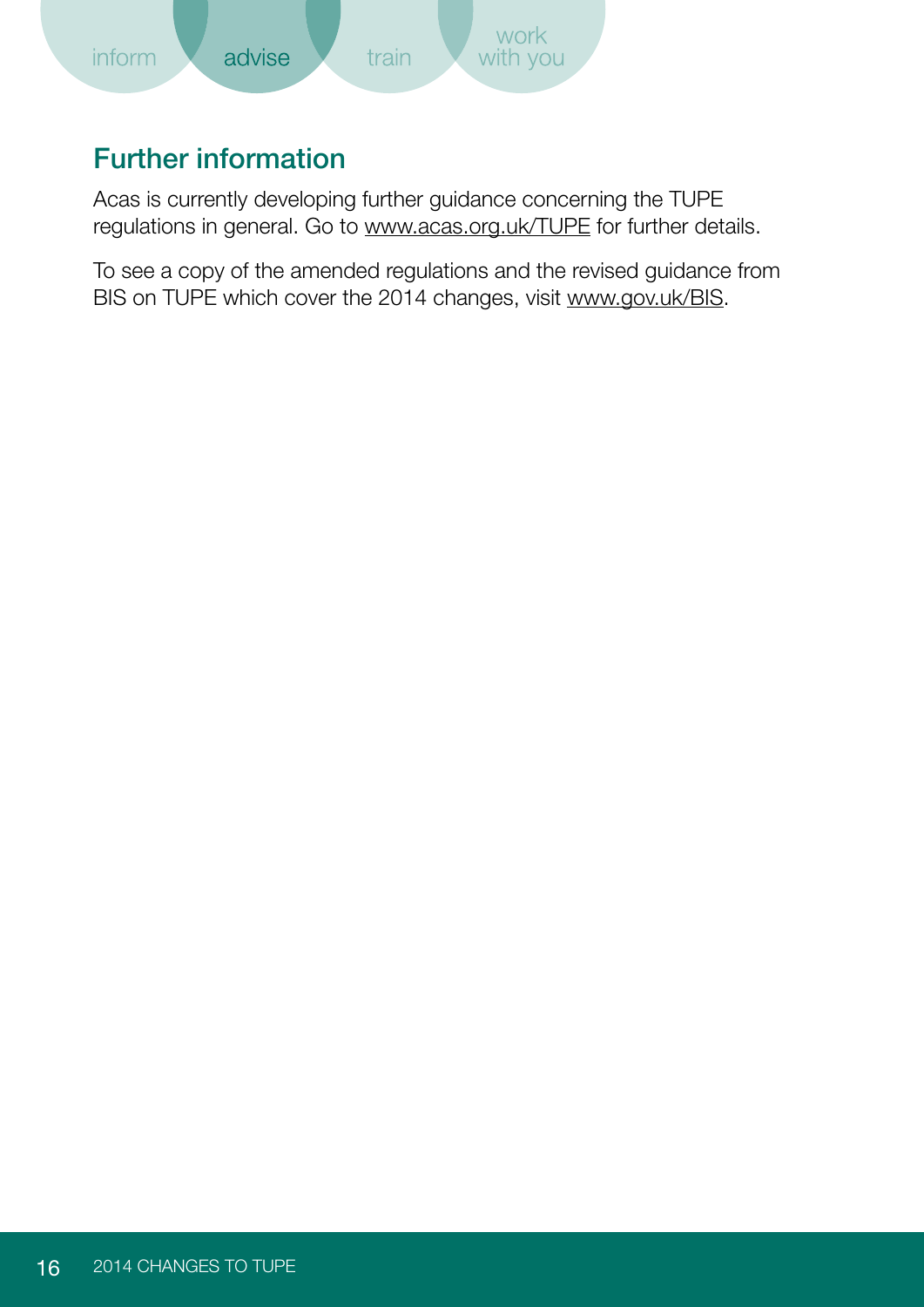<span id="page-17-0"></span>

## Further information

Acas is currently developing further guidance concerning the TUPE regulations in general. Go to<www.acas.org.uk/TUPE> for further details.

To see a copy of the amended regulations and the revised guidance from BIS on TUPE which cover the 2014 changes, visit [www.gov.uk/BIS.](www.gov.uk/BIS)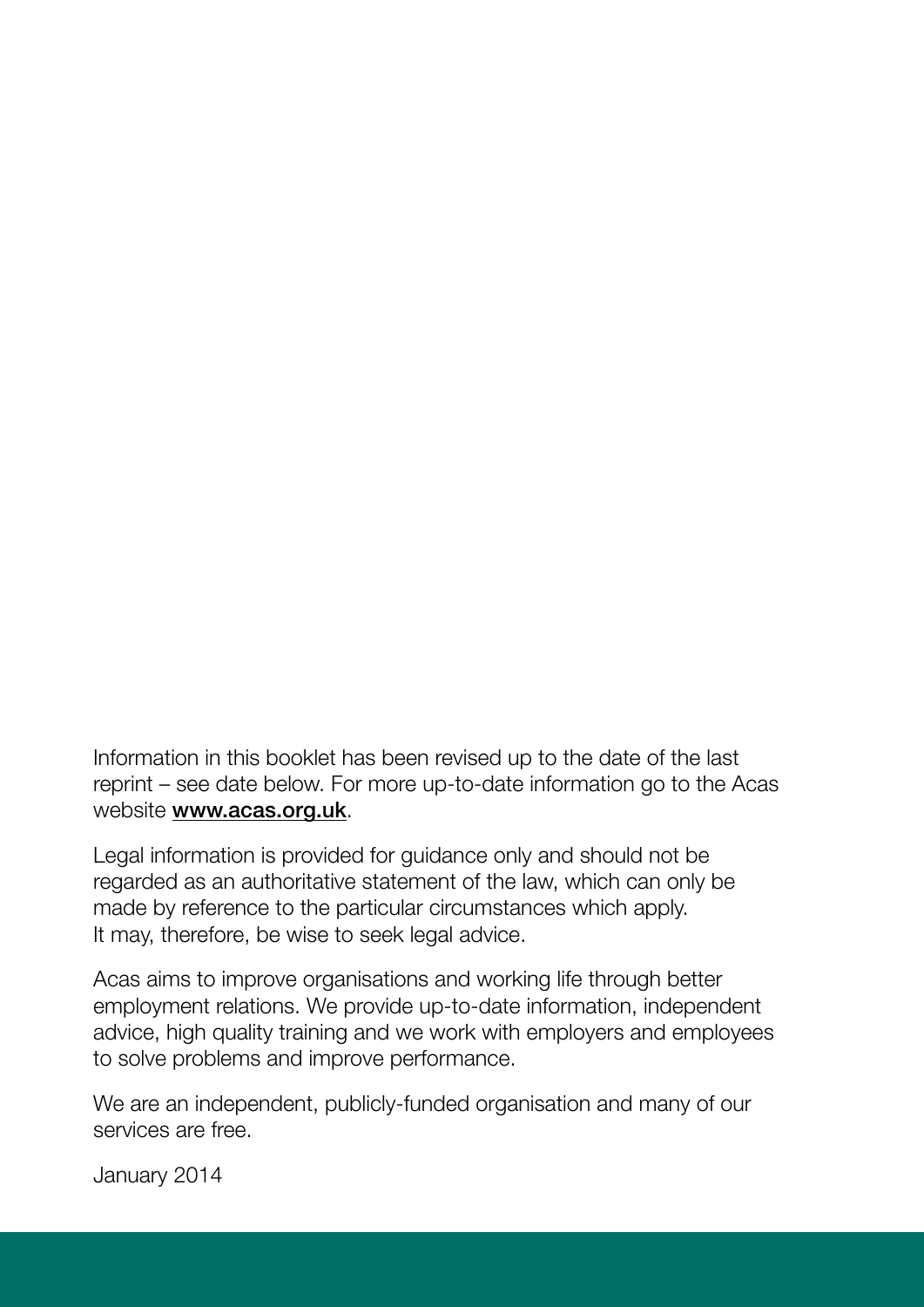Information in this booklet has been revised up to the date of the last reprint – see date below. For more up-to-date information go to the Acas website <www.acas.org.uk>.

Legal information is provided for guidance only and should not be regarded as an authoritative statement of the law, which can only be made by reference to the particular circumstances which apply. It may, therefore, be wise to seek legal advice.

Acas aims to improve organisations and working life through better employment relations. We provide up-to-date information, independent advice, high quality training and we work with employers and employees to solve problems and improve performance.

We are an independent, publicly-funded organisation and many of our services are free.

January 2014